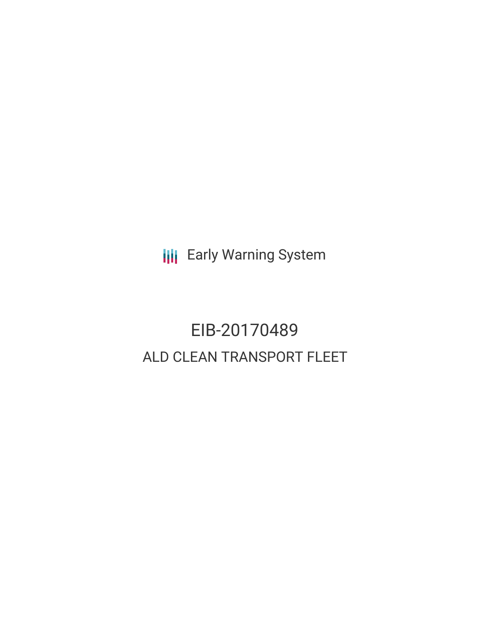**III** Early Warning System

# EIB-20170489 ALD CLEAN TRANSPORT FLEET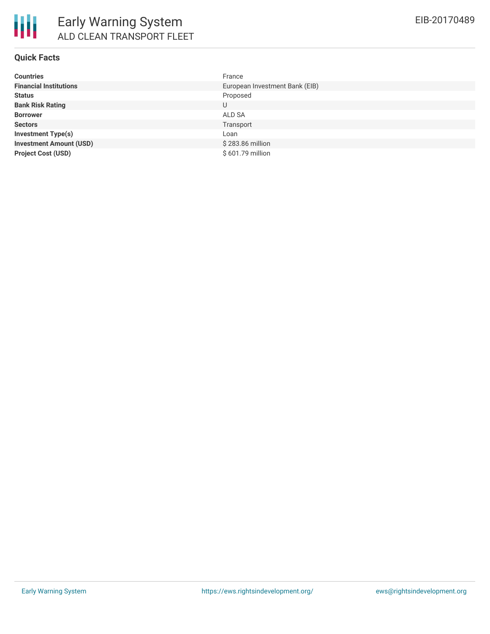#### **Quick Facts**

| <b>Countries</b>               | France                         |
|--------------------------------|--------------------------------|
| <b>Financial Institutions</b>  | European Investment Bank (EIB) |
| <b>Status</b>                  | Proposed                       |
| <b>Bank Risk Rating</b>        | U                              |
| <b>Borrower</b>                | ALD SA                         |
| <b>Sectors</b>                 | Transport                      |
| <b>Investment Type(s)</b>      | Loan                           |
| <b>Investment Amount (USD)</b> | \$283.86 million               |
| <b>Project Cost (USD)</b>      | \$601.79 million               |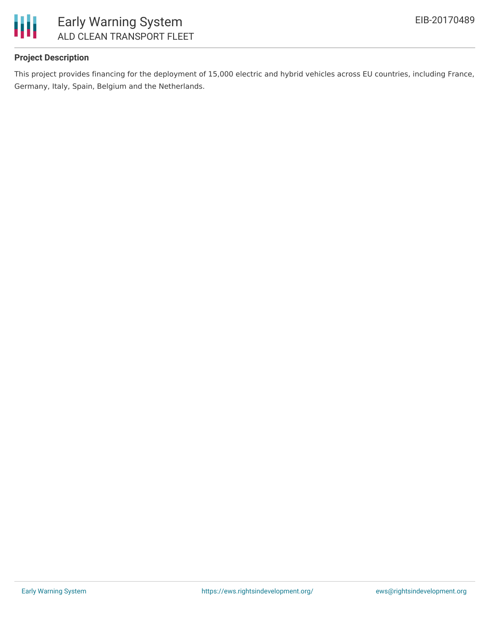

### **Project Description**

This project provides financing for the deployment of 15,000 electric and hybrid vehicles across EU countries, including France, Germany, Italy, Spain, Belgium and the Netherlands.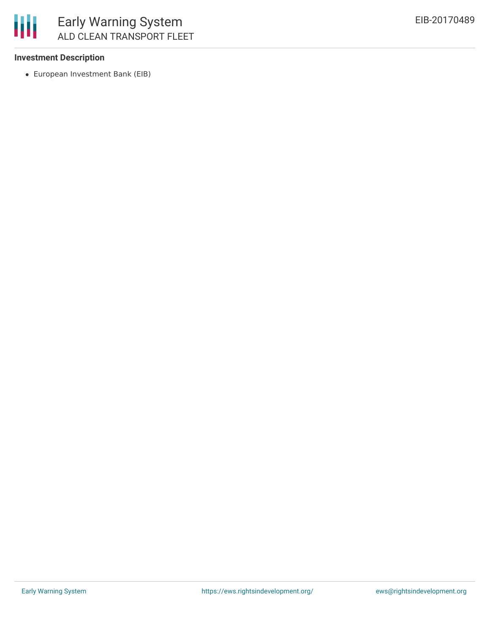

#### **Investment Description**

European Investment Bank (EIB)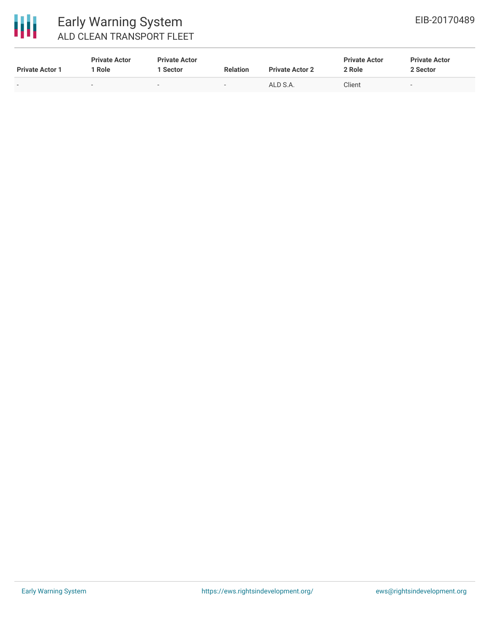

# Early Warning System ALD CLEAN TRANSPORT FLEET

| <b>Private Actor 1</b> | <b>Private Actor</b><br>Role | <b>Private Actor</b><br>Sector | <b>Relation</b> | <b>Private Actor 2</b> | <b>Private Actor</b><br>2 Role | <b>Private Actor</b><br>2 Sector |
|------------------------|------------------------------|--------------------------------|-----------------|------------------------|--------------------------------|----------------------------------|
| $\sim$                 | -                            |                                |                 | ALD S.A.               | Client                         |                                  |